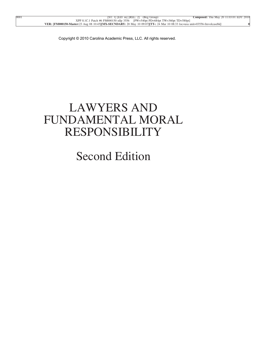## LAWYERS AND FUNDAMENTAL MORAL RESPONSIBILITY

## Second Edition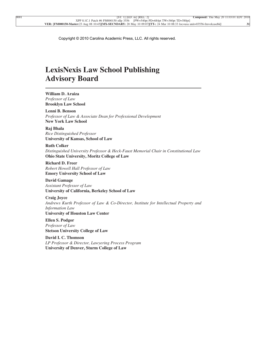### **LexisNexis Law School Publishing Advisory Board**

#### **William D. Araiza** *Professor of Law* **Brooklyn Law School**

**Lenni B. Benson** *Professor of Law & Associate Dean for Professional Development* **New York Law School**

#### **Raj Bhala**

*Rice Distinguished Professor* **University of Kansas, School of Law**

#### **Ruth Colker**

*Distinguished University Professor & Heck-Faust Memorial Chair in Constitutional Law* **Ohio State University, Moritz College of Law**

**Richard D. Freer** *Robert Howell Hall Professor of Law* **Emory University School of Law**

**David Gamage** *Assistant Professor of Law* **University of California, Berkeley School of Law**

**Craig Joyce** *Andrews Kurth Professor of Law & Co-Director, Institute for Intellectual Property and Information Law* **University of Houston Law Center**

**Ellen S. Podgor** *Professor of Law* **Stetson University College of Law**

**David I. C. Thomson** *LP Professor & Director, Lawyering Process Program* **University of Denver, Sturm College of Law**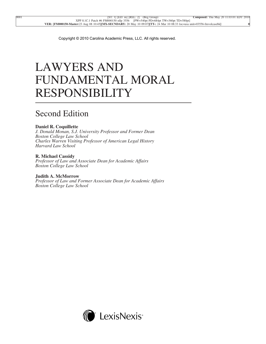# LAWYERS AND FUNDAMENTAL MORAL RESPONSIBILITY

### Second Edition

#### **Daniel R. Coquillette**

*J. Donald Monan, S.J. University Professor and Former Dean Boston College Law School Charles Warren Visiting Professor of American Legal History Harvard Law School*

### **R. Michael Cassidy**

*Professor of Law and Associate Dean for Academic Affairs Boston College Law School*

#### **Judith A. McMorrow**

*Professor of Law and Former Associate Dean for Academic Affairs Boston College Law School*

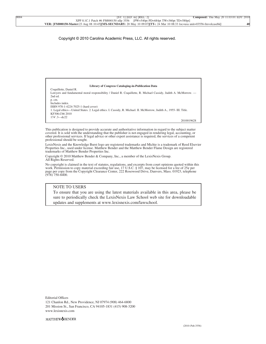

This publication is designed to provide accurate and authoritative information in regard to the subject matter covered. It is sold with the understanding that the publisher is not engaged in rendering legal, accounting, or other professional services. If legal advice or other expert assistance is required, the services of a competent professional should be sought.

LexisNexis and the Knowledge Burst logo are registered trademarks and Michie is a trademark of Reed Elsevier Properties Inc., used under license. Matthew Bender and the Matthew Bender Flame Design are registered trademarks of Matthew Bender Properties Inc.

Copyright © 2010 Matthew Bender & Company, Inc., a member of the LexisNexis Group. All Rights Reserved.

No copyright is claimed in the text of statutes, regulations, and excerpts from court opinions quoted within this work. Permission to copy material exceeding fair use, 17 U.S.C. § 107, may be licensed for a fee of 25¢ per page per copy from the Copyright Clearance Center, 222 Rosewood Drive, Danvers, Mass. 01923, telephone (978) 750-8400.

#### NOTE TO USERS

To ensure that you are using the latest materials available in this area, please be sure to periodically check the LexisNexis Law School web site for downloadable updates and supplements at www.lexisnexis.com/lawschool.

Editorial Offices 121 Chanlon Rd., New Providence, NJ 07974 (908) 464-6800 201 Mission St., San Francisco, CA 94105-1831 (415) 908-3200 www.lexisnexis.com

MATTHEW**OBENDER**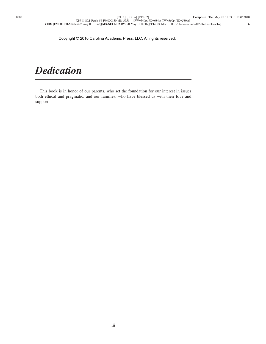## *Dedication*

This book is in honor of our parents, who set the foundation for our interest in issues both ethical and pragmatic, and our families, who have blessed us with their love and support.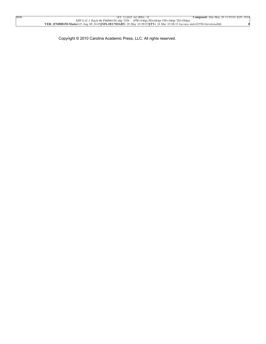Copyright © 2010 Carolina Academic Press, LLC. All rights reserved.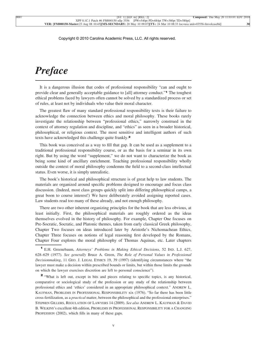### *Preface*

It is a dangerous illusion that codes of professional responsibility "can and ought to provide clear and generally acceptable guidance to [all] attorney conduct."**<sup>1</sup>** The toughest ethical problems faced by lawyers often cannot be solved by a standardized process or set of rules, at least not by individuals who value their moral character.

The greatest flaw of many standard professional responsibility texts is their failure to acknowledge the connection between ethics and moral philosophy. These books rarely investigate the relationship between "professional ethics," narrowly construed in the context of attorney regulation and discipline, and "ethics" as seen in a broader historical, philosophical, or religious context. The most sensitive and intelligent authors of such texts have acknowledged this challenge quite frankly.**<sup>2</sup>**

This book was conceived as a way to fill that gap. It can be used as a supplement to a traditional professional responsibility course, or as the basis for a seminar in its own right. But by using the word "supplement," we do not want to characterize the book as being some kind of ancillary enrichment. Teaching professional responsibility wholly outside the context of moral philosophy condemns the field to a second-class intellectual status. Even worse, it is simply unrealistic.

The book's historical and philosophical structure is of great help to law students. The materials are organized around specific problems designed to encourage and focus class discussion. (Indeed, most class groups quickly split into differing philosophical camps, a great boon to course interest!) We have deliberately avoided assigning reported cases. Law students read too many of these already, and not enough philosophy.

There are two other inherent organizing principles for the book that are less obvious, at least initially. First, the philosophical materials are roughly ordered as the ideas themselves evolved in the history of philosophy. For example, Chapter One focuses on Pre-Socratic, Socratic, and Platonic themes, taken from early classical Greek philosophy, Chapter Two focuses on ideas introduced later by Aristotle's Nichomachean Ethics, Chapter Three focuses on notions of legal reasoning first developed by the Romans, Chapter Four explores the moral philosophy of Thomas Aquinas, etc. Later chapters

**<sup>2</sup>** "What is left out, except in bits and pieces relating to specific topics, is any historical, comparative or sociological study of the profession or any study of the relationship between professional ethics and 'ethics' considered in an appropriate philosophical context." ANDREW L. KAUFMAN, PROBLEMS IN PROFESSIONAL RESPONSIBILITY xix (1976). "So far there has been little cross-fertilization, as a *practical* matter, between the philosophical and the professional enterprises." STEPHEN GILLERS, REGULATION OF LAWYERS 14 (2009). *See also* ANDREW L. KAUFMAN & DAVID B. WILKINS's excellent 4th edition, PROBLEMS IN PROFESSIONAL RESPONSIBILITY FOR A CHANGING PROFESSION (2002), which fills in many of these gaps.

**<sup>1</sup>** E.H. Greenebaum, *Attorneys' Problems in Making Ethical Decisions*, 52 IND. L.J. 627, 628–629 (1977). *See generally* Bruce A. Green, *The Role of Personal Values in Professional Decisionmaking*, 11 GEO. J. LEGAL ETHICS 19, 39 (1997) (identifying circumstances where "the lawyer must make a decision within prescribed bounds or limits, but within those limits the grounds on which the lawyer exercises discretion are left to personal conscience").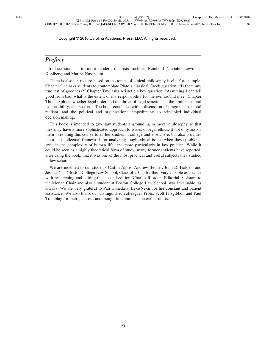### *Preface*

introduce students to more modern theorists such as Reinhold Niebuhr, Lawrence Kohlberg, and Martha Nussbaum.

There is also a structure based on the topics of ethical philosophy itself. For example, Chapter One asks students to contemplate Plato's classical Greek question: "Is there any true test of goodness?" Chapter Two asks Aristotle's key question, "Assuming I can tell good from bad, what is the extent of my responsibility for the evil around me?" Chapter Three explores whether legal order and the threat of legal sanction set the limits of moral responsibility, and so forth. The book concludes with a discussion of pragmatism, moral realism, and the political and organizational impediments to principled individual decision making.

This book is intended to give law students a grounding in moral philosophy so that they may have a more sophisticated approach to issues of legal ethics. It not only assists them in relating this course to earlier studies in college and elsewhere, but also provides them an intellectual framework for analyzing tough ethical issues when these problems arise in the complexity of human life, and more particularly in law practice. While it could be seen as a highly theoretical form of study, many former students have reported, after using the book, that it was one of the most practical and useful subjects they studied in law school.

We are indebted to our students Caitlin Akins, Andrew Bender, John D. Holden, and Jessica Yau (Boston College Law School, Class of 2011) for their very capable assistance with researching and editing this second edition. Charles Riordan, Editorial Assistant to the Monan Chair and also a student at Boston College Law School, was invaluable, as always. We are very grateful to Pali Chheda at LexisNexis for her constant and patient assistance. We also thank our distinguished colleagues Profs. Scott Fitzgibbon and Paul Tremblay for their generous and thoughtful comments on earlier drafts.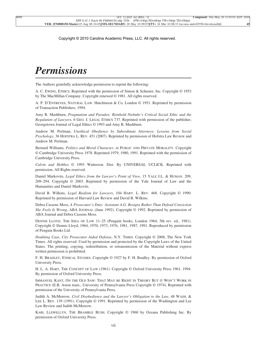## *Permissions*

The Authors gratefully acknowledge permission to reprint the following:

A. C. EWING, ETHICS. Reprinted with the permission of Simon & Schuster, Inc. Copyright © 1953 by The MacMillan Company. Copyright renewed © 1981. All rights reserved.

A. P. D'ENTREVES, NATURAL LAW. Hutchinson & Co, London © 1951. Reprinted by permission of Transaction Publishers, 1994.

Amy R. Mashburn, *Pragmatism and Paradox: Reinhold Niebuhr's Critical Social Ethic and the Regulation of Lawyers*,6GEO. J. LEGAL ETHICS 737. Reprinted with permission of the publisher, Georgetown Journal of Legal Ethics © 1993 and Amy R. Mashburn.

Andrew M. Perlman, *Unethical Obedience by Subordinate Attorneys: Lessons from Social Psychology*, 36 HOFSTRA L. REV. 451 (2007). Reprinted by permission of Hofstra Law Review and Andrew M. Perlman.

Bernard Williams, *Politics and Moral Character*, *in* PUBLIC AND PRIVATE MORALITY. Copyright © Cambridge University Press 1978. Reprinted 1979, 1980, 1991. Reprinted with the permission of Cambridge University Press.

*Calvin and Hobbes* © 1993 Watterson. Dist. By UNIVERSAL UCLICK. Reprinted with permission. All Rights reserved.

Daniel Markovits, *Legal Ethics from the Lawyer's Point of View*, 15 YALE J.L. & HUMAN. 209, 209–294. Copyright © 2003. Reprinted by permission of the Yale Journal of Law and the Humanities and Daniel Markovits.

David B. Wilkins, *Legal Realism for Lawyers*, 104 HARV. L. REV. 468. Copyright © 1990. Reprinted by permission of Harvard Law Review and David B. Wilkins.

Debra Cassens Moss, *A Prosecutor's Duty: Assistant A.G. Resigns Rather Than Defend Conviction She Feels Is Wrong*, ABA JOURNAL (June 1992). Copyright © 1992. Reprinted by permission of ABA Journal and Debra Cassens Moss.

DENNIS LLOYD, THE IDEA OF LAW 11–25 (Penguin books, London 1964, 5th rev. ed., 1981). Copyright © Dennis Lloyd, 1964, 1970, 1973, 1976, 1981, 1987, 1991. Reproduced by permission of Penguin Books Ltd.

*Doubting Case, City Prosecutor Aided Defense*, N.Y. TIMES. Copyright © 2008, The New York Times. All rights reserved. Used by permission and protected by the Copyright Laws of the United States. The printing, copying, redistribution, or retransmission of the Material without express written permission is prohibited.

F. H. BRADLEY, ETHICAL STUDIES. Copyright © 1927 by F. H. Bradley. By permission of Oxford University Press.

H. L. A. HART, THE CONCEPT OF LAW (1961). Copyright © Oxford University Press 1961, 1994. By permission of Oxford University Press.

IMMANUEL KANT, ON THE OLD SAW: THAT MAY BE RIGHT IN THEORY BUT IT WON'T WORK IN PRACTICE (E.B. Aston trans., University of Pennsylvania Press Copyright © 1974). Reprinted with permission of the University of Pennsylvania Press.

Judith A. McMorrow, *Civil Disobedience and the Lawyer's Obligation to the Law*, 48 WASH. & LEE L. REV. 139 (1991). Copyright © 1991. Reprinted by permission of the Washington and Lee Law Review and Judith McMorrow.

KARL LLEWELLYN, THE BRAMBLE BUSH. Copyright © 1960 by Oceana Publishing Inc. By permission of Oxford University Press.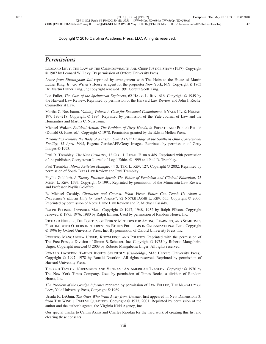### *Permissions*

LEONARD LEVY, THE LAW OF THE COMMONWEALTH AND CHIEF JUSTICE SHAW (1957). Copyright © 1987 by Leonard W. Levy. By permission of Oxford University Press.

*Letter from Birmingham Jail* reprinted by arrangement with The Heirs to the Estate of Martin Luther King, Jr., c/o Writer's House as agent for the proprietor New York, N.Y. Copyright © 1963 Dr. Martin Luther King, Jr.; copyright renewed 1991 Coretta Scott King.

Lon Fuller, *The Case of the Speluncean Explorers*, 62 HARV. L. REV. 616. Copyright © 1949 by the Harvard Law Review. Reprinted by permission of the Harvard Law Review and John J. Roche, Counsellor at Law.

Martha C. Nussbaum, *Valuing Values: A Case for Reasoned Commitment*,6YALE J.L. & HUMAN. 197, 197–218. Copyright © 1994. Reprinted by permission of the Yale Journal of Law and the Humanities and Martha C. Nussbaum.

Michael Walzer, *Political Action: The Problem of Dirty Hands*, *in* PRIVATE AND PUBLIC ETHICS (Donald G. Jones ed.). Copyright © 1978. Permission granted by the Edwin Mellen Press.

*Paramedics Remove the Body of a Prison Guard Held Hostage at the Southern Ohio Correctional Facility, 15 April 1993*, Eugene Garcia/AFP/Getty Images. Reprinted by permission of Getty Images © 1993.

Paul R. Tremblay, *The New Casuistry*, 12 GEO. J. LEGAL ETHICS 489. Reprinted with permission of the publisher, Georgetown Journal of Legal Ethics © 1999 and Paul R. Tremblay.

Paul Tremblay, *Moral Activism Manque*, 44 S. TEX. L. REV. 127. Copyright © 2002. Reprinted by permission of South Texas Law Review and Paul Tremblay.

Phyllis Goldfarb, *A Theory-Practice Spiral: The Ethics of Feminism and Clinical Education*, 75 MINN. L. REV. 1599. Copyright © 1991. Reprinted by permission of the Minnesota Law Review and Professor Phyllis Goldfarb.

R. Michael Cassidy, *Character and Context: What Virtue Ethics Can Teach Us About a Prosecutor's Ethical Duty to "Seek Justice"*, 82 NOTRE DAME L. REV. 635. Copyright © 2006. Reprinted by permission of Notre Dame Law Review and R. Michael Cassidy.

RALPH ELLISON, INVISIBLE MAN. Copyright © 1947, 1948, 1952 by Ralph Ellison. Copyright renewed © 1975, 1976, 1980 by Ralph Ellison. Used by permission of Random House, Inc.

RICHARD NIELSEN, THE POLITICS OF ETHICS: METHODS FOR ACTING, LEARNING, AND SOMETIMES FIGHTING WITH OTHERS IN ADDRESSING ETHICS PROBLEMS IN ORGANIZATIONAL LIFE. Copyright © 1996 by Oxford University Press, Inc. By permission of Oxford University Press, Inc.

ROBERTO MANGABEIRA UNGER, KNOWLEDGE AND POLITICS. Reprinted with the permission of The Free Press, a Division of Simon & Schuster, Inc. Copyright © 1975 by Roberto Mangabeira Unger. Copyright renewed © 2003 by Roberto Mangabeira Unger. All rights reserved.

RONALD DWORKIN, TAKING RIGHTS SERIOUSLY (Cambridge, MA: Harvard University Press). Copyright © 1997, 1978 by Ronald Dworkin. All rights reserved. Reprinted by permission of Harvard University Press.

TELFORD TAYLOR, NUREMBERG AND VIETNAM: AN AMERICAN TRAGEDY. Copyright © 1970 by The New York Times Company. Used by permission of Times Books, a division of Random House, Inc.

*The Problem of the Grudge Informer* reprinted by permission of LON FULLER, THE MORALITY OF LAW, Yale University Press, Copyright © 1969.

Ursula K. LeGuin, *The Ones Who Walk Away from Omelas*, first appeared in New Dimensions 3; from THE WIND'S TWELVE QUARTERS. Copyright © 1973, 2001. Reprinted by permission of the author and the author's agents, the Virginia Kidd Agency, Inc.

Our special thanks to Caitlin Akins and Charles Riordan for the hard work of creating this list and clearing these consents.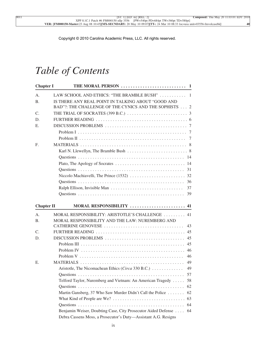| <b>Chapter I</b>  |                                                                   |     |
|-------------------|-------------------------------------------------------------------|-----|
| A.                | LAW SCHOOL AND ETHICS: "THE BRAMBLE BUSH"  1                      |     |
| <b>B.</b>         | IS THERE ANY REAL POINT IN TALKING ABOUT "GOOD AND                |     |
|                   | BAD"?: THE CHALLENGE OF THE CYNICS AND THE SOPHISTS  2            |     |
| C.                |                                                                   |     |
| D.                |                                                                   |     |
| Е.                |                                                                   |     |
|                   |                                                                   |     |
|                   |                                                                   |     |
| F.                |                                                                   |     |
|                   |                                                                   |     |
|                   |                                                                   |     |
|                   |                                                                   | -14 |
|                   |                                                                   |     |
|                   |                                                                   |     |
|                   |                                                                   |     |
|                   |                                                                   | 37  |
|                   |                                                                   | 39  |
| <b>Chapter II</b> | MORAL RESPONSIBILITY  41                                          |     |
| A.                | MORAL RESPONSIBILITY: ARISTOTLE'S CHALLENGE  41                   |     |
| <b>B.</b>         | MORAL RESPONSIBILITY AND THE LAW: NUREMBERG AND                   |     |
|                   | CATHERINE GENOVESE                                                | 43  |
| C.                |                                                                   | 45  |
| D.                | DISCUSSION PROBLEMS                                               | 45  |
|                   |                                                                   | 45  |
|                   |                                                                   | 46  |
|                   |                                                                   | 46  |
| Ε.                |                                                                   | 49  |
|                   | Aristotle, The Nicomachean Ethics (Circa 330 B.C.)                | 49  |
|                   |                                                                   |     |
|                   | Telford Taylor, Nuremberg and Vietnam: An American Tragedy  58    |     |
|                   |                                                                   | 62  |
|                   | Martin Gansberg, 37 Who Saw Murder Didn't Call the Police         | 62  |
|                   |                                                                   |     |
|                   |                                                                   |     |
|                   | Benjamin Weiser, Doubting Case, City Prosecutor Aided Defense  64 |     |
|                   | Debra Cassens Moss, a Prosecutor's Duty-Assistant A.G. Resigns    |     |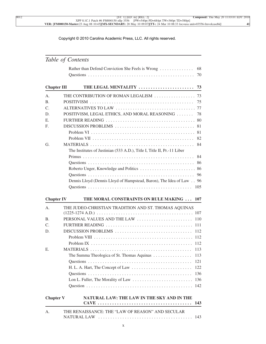|                    | Rather than Defend Conviction She Feels is Wrong                        | 68<br>70 |
|--------------------|-------------------------------------------------------------------------|----------|
| <b>Chapter III</b> |                                                                         |          |
| А.                 |                                                                         |          |
| В.                 |                                                                         | 75       |
| C.                 |                                                                         |          |
| D.                 | POSITIVISM, LEGAL ETHICS, AND MORAL REASONING                           | 78       |
| Е.                 |                                                                         |          |
| F.                 |                                                                         |          |
|                    |                                                                         |          |
|                    |                                                                         | 82       |
| G.                 |                                                                         | 84       |
|                    | The Institutes of Justinian (533 A.D.), Title I, Title II, Pr.-11 Liber |          |
|                    |                                                                         |          |
|                    |                                                                         |          |
|                    |                                                                         |          |
|                    |                                                                         |          |
|                    | Dennis Lloyd (Dennis Lloyd of Hampstead, Baron), The Idea of Law 96     |          |
|                    |                                                                         | 105      |
| <b>Chapter IV</b>  | THE MORAL CONSTRAINTS ON RULE MAKING  107                               |          |
| А.                 | THE JUDEO-CHRISTIAN TRADITION AND ST. THOMAS AQUINAS                    |          |
|                    |                                                                         |          |
| В.                 | PERSONAL VALUES AND THE LAW                                             | 110      |
| C.                 | FURTHER READING                                                         | 111      |
| D.                 |                                                                         | -112     |
|                    |                                                                         |          |
|                    |                                                                         |          |

|         | Chapter V NATURAL LAW: THE LAW IN THE SKY AND IN THE |  |
|---------|------------------------------------------------------|--|
| $A_{1}$ | THE RENAISSANCE: THE "LAW OF REASON" AND SECULAR     |  |

E. MATERIALS . . . . . . . . . . . . . . . . . . . . . . . . . . . . . . . . . . . . . . . . . . 113

The Summa Theologica of St. Thomas Aquinas . . . . . . . . . . . . . . . . 113 Questions . . . . . . . . . . . . . . . . . . . . . . . . . . . . . . . . . . . . . . . . . . . 121 H. L. A. Hart, The Concept of Law . . . . . . . . . . . . . . . . . . . . . . . . . 122 Questions . . . . . . . . . . . . . . . . . . . . . . . . . . . . . . . . . . . . . . . . . . . 136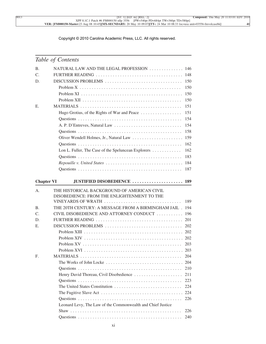| <b>B.</b>         | NATURAL LAW AND THE LEGAL PROFESSION  146                   |     |
|-------------------|-------------------------------------------------------------|-----|
| $\mathcal{C}$ .   |                                                             |     |
| D.                | DISCUSSION PROBLEMS                                         | 150 |
|                   |                                                             | 150 |
|                   |                                                             | 150 |
|                   |                                                             | 150 |
| Ε.                |                                                             | 151 |
|                   | Hugo Grotius, of the Rights of War and Peace                | 151 |
|                   |                                                             | 154 |
|                   | A. P. D'Entreves, Natural Law                               | 154 |
|                   |                                                             | 158 |
|                   | Oliver Wendell Holmes, Jr., Natural Law                     | 159 |
|                   |                                                             | 162 |
|                   | Lon L. Fuller, The Case of the Speluncean Explorers         | 162 |
|                   |                                                             | 183 |
|                   |                                                             |     |
|                   |                                                             | 187 |
|                   |                                                             |     |
| <b>Chapter VI</b> | JUSTIFIED DISOBEDIENCE  189                                 |     |
| A.                | THE HISTORICAL BACKGROUND OF AMERICAN CIVIL                 |     |
|                   | DISOBEDIENCE: FROM THE ENLIGHTENMENT TO THE                 |     |
|                   | VINEYARDS OF WRATH                                          | 189 |
| Β.                | THE 20TH CENTURY: A MESSAGE FROM A BIRMINGHAM JAIL.         | 194 |
| C.                | CIVIL DISOBEDIENCE AND ATTORNEY CONDUCT                     | 196 |
| D.                |                                                             |     |
| Е.                | DISCUSSION PROBLEMS                                         | 202 |
|                   |                                                             |     |
|                   |                                                             |     |
|                   |                                                             | 203 |
|                   |                                                             |     |
| F.                |                                                             | 204 |
|                   | The Works of John Locke                                     | 204 |
|                   |                                                             | 210 |
|                   | Henry David Thoreau, Civil Disobedience                     | 211 |
|                   |                                                             | 223 |
|                   |                                                             | 224 |
|                   |                                                             |     |
|                   |                                                             | 226 |
|                   | Leonard Levy, The Law of the Commonwealth and Chief Justice |     |
|                   |                                                             | 226 |
|                   |                                                             | 240 |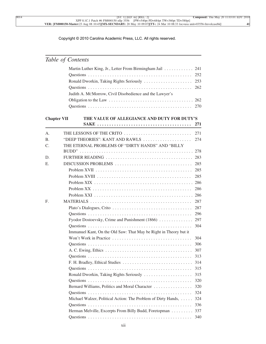|                    | Martin Luther King, Jr., Letter From Birmingham Jail 241                                     |     |
|--------------------|----------------------------------------------------------------------------------------------|-----|
|                    |                                                                                              | 252 |
|                    | Ronald Dworkin, Taking Rights Seriously                                                      | 253 |
|                    |                                                                                              | 262 |
|                    | Judith A. MCMorrow, Civil Disobedience and the Lawyer's                                      |     |
|                    |                                                                                              |     |
|                    |                                                                                              | 270 |
| <b>Chapter VII</b> | THE VALUE OF ALLEGIANCE AND DUTY FOR DUTY'S                                                  |     |
|                    |                                                                                              | 271 |
|                    |                                                                                              |     |
| А.                 | THE LESSONS OF THE CRITO                                                                     | 271 |
| Β.                 | "DEEP THEORIES": KANT AND RAWLS                                                              | 274 |
| C.                 | THE ETERNAL PROBLEMS OF "DIRTY HANDS" AND "BILLY                                             |     |
|                    |                                                                                              | 278 |
| D.                 |                                                                                              |     |
| Е.                 |                                                                                              | 285 |
|                    |                                                                                              | 285 |
|                    | Problem XVIII $\ldots \ldots \ldots \ldots \ldots \ldots \ldots \ldots \ldots \ldots \ldots$ | 285 |
|                    |                                                                                              |     |
|                    |                                                                                              | 286 |
|                    |                                                                                              |     |
| F.                 |                                                                                              | 287 |
|                    |                                                                                              | 287 |
|                    |                                                                                              | 296 |
|                    | Fyodor Dostoevsky, Crime and Punishment (1866)  297                                          |     |
|                    |                                                                                              | 304 |
|                    | Immanuel Kant, On the Old Saw: That May be Right in Theory but it                            |     |
|                    | Won't Work in Practice                                                                       | 304 |
|                    |                                                                                              | 306 |
|                    |                                                                                              | 307 |
|                    |                                                                                              | 313 |
|                    | F. H. Bradley, Ethical Studies                                                               | 314 |
|                    |                                                                                              | 315 |
|                    | Ronald Dworkin, Taking Rights Seriously                                                      | 315 |
|                    |                                                                                              | 320 |
|                    | Bernard Williams, Politics and Moral Character                                               | 320 |
|                    |                                                                                              | 324 |
|                    | Michael Walzer, Political Action: The Problem of Dirty Hands,                                | 324 |
|                    |                                                                                              | 336 |
|                    | Herman Melville, Excerpts From Billy Budd, Foretopman 337                                    |     |
|                    |                                                                                              | 340 |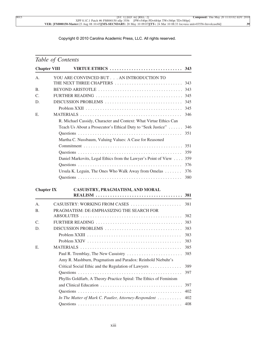|  | Table of Contents |
|--|-------------------|
|--|-------------------|

| <b>Chapter VIII</b> |                                                                    |     |
|---------------------|--------------------------------------------------------------------|-----|
| A.                  | YOU ARE CONVINCED BUT AN INTRODUCTION TO                           |     |
|                     | THE NEXT THREE CHAPTERS                                            | 343 |
| <b>B.</b>           | BEYOND ARISTOTLE                                                   | 343 |
| $\mathcal{C}$ .     |                                                                    |     |
| D.                  | DISCUSSION PROBLEMS                                                | 345 |
|                     |                                                                    | 345 |
| Ε.                  |                                                                    | 346 |
|                     | R. Michael Cassidy, Character and Context: What Virtue Ethics Can  |     |
|                     | Teach Us About a Prosecutor's Ethical Duty to "Seek Justice"       | 346 |
|                     |                                                                    | 351 |
|                     | Martha C. Nussbaum, Valuing Values: A Case for Reasoned            |     |
|                     |                                                                    | 351 |
|                     |                                                                    | 359 |
|                     | Daniel Markovits, Legal Ethics from the Lawyer's Point of View     | 359 |
|                     |                                                                    | 376 |
|                     | Ursula K. Leguin, The Ones Who Walk Away from Omelas               | 376 |
|                     |                                                                    | 380 |
| <b>Chapter IX</b>   | CASUISTRY, PRAGMATISM, AND MORAL                                   |     |
|                     |                                                                    | 381 |
| A.                  |                                                                    | 381 |
| Β.                  | PRAGMATISM: DE-EMPHASIZING THE SEARCH FOR                          |     |
|                     |                                                                    | 382 |
| $\mathcal{C}$ .     |                                                                    | 383 |
| D.                  | DISCUSSION PROBLEMS                                                | 383 |
|                     |                                                                    | 383 |
|                     |                                                                    | 383 |
| Е.                  |                                                                    | 385 |
|                     |                                                                    | 385 |
|                     | Amy R. Mashburn, Pragmatism and Paradox: Reinhold Niebuhr's        |     |
|                     | Critical Social Ethic and the Regulation of Lawyers                | 389 |
|                     |                                                                    | 397 |
|                     | Phyllis Goldfarb, A Theory-Practice Spiral: The Ethics of Feminism |     |
|                     |                                                                    | 397 |
|                     |                                                                    | 402 |
|                     | In The Matter of Mark C. Pautler, Attorney-Respondent              | 402 |
|                     |                                                                    | 408 |